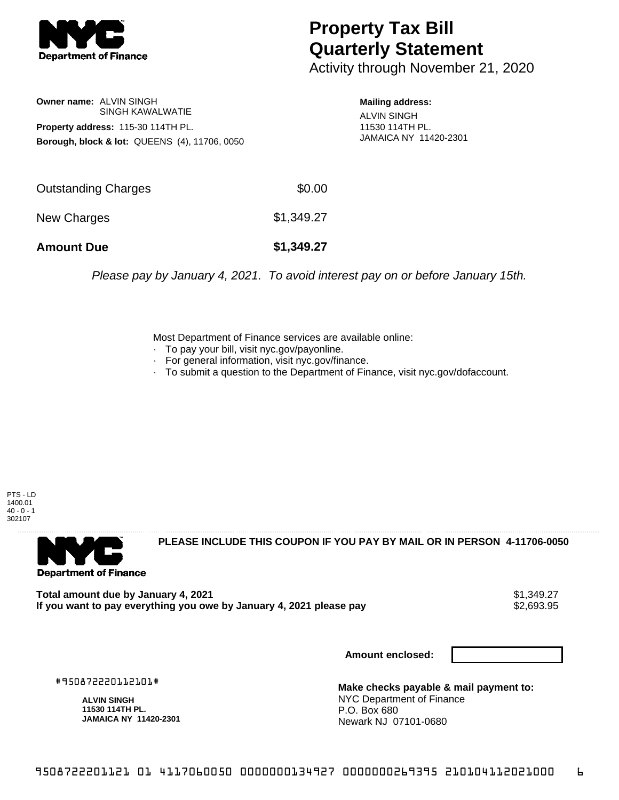

## **Property Tax Bill Quarterly Statement**

Activity through November 21, 2020

**Owner name:** ALVIN SINGH SINGH KAWALWATIE **Property address:** 115-30 114TH PL. **Borough, block & lot:** QUEENS (4), 11706, 0050

**Mailing address:** ALVIN SINGH 11530 114TH PL. JAMAICA NY 11420-2301

| <b>Amount Due</b>   | \$1,349.27 |
|---------------------|------------|
| New Charges         | \$1,349.27 |
| Outstanding Charges | \$0.00     |

Please pay by January 4, 2021. To avoid interest pay on or before January 15th.

Most Department of Finance services are available online:

- · To pay your bill, visit nyc.gov/payonline.
- For general information, visit nyc.gov/finance.
- · To submit a question to the Department of Finance, visit nyc.gov/dofaccount.

PTS - LD 1400.01  $40 - 0 - 1$ 302107



**PLEASE INCLUDE THIS COUPON IF YOU PAY BY MAIL OR IN PERSON 4-11706-0050** 

**Total amount due by January 4, 2021**<br>If you want to pay everything you owe by January 4, 2021 please pay **show that the set of the set of the set of** If you want to pay everything you owe by January 4, 2021 please pay

**Amount enclosed:**

#950872220112101#

**ALVIN SINGH 11530 114TH PL. JAMAICA NY 11420-2301**

**Make checks payable & mail payment to:** NYC Department of Finance P.O. Box 680 Newark NJ 07101-0680